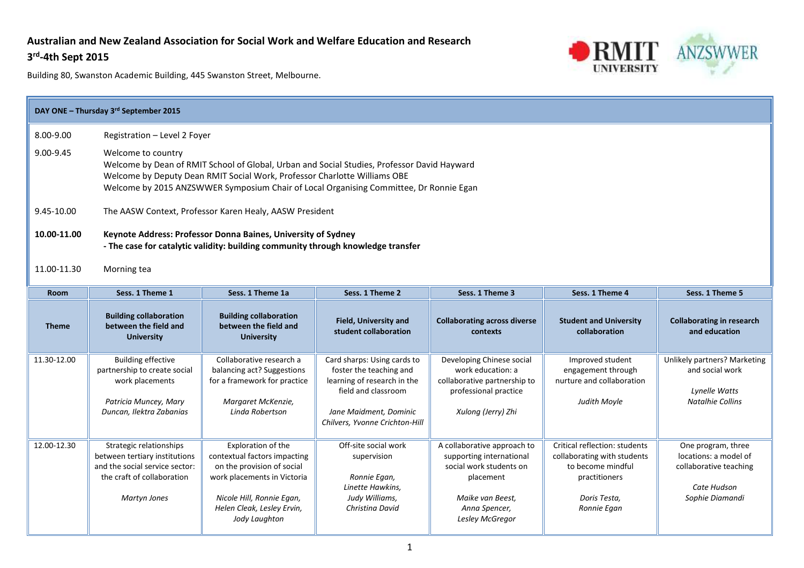## **Australian and New Zealand Association for Social Work and Welfare Education and Research**

#### **3 rd -4th Sept 2015**



| DAY ONE - Thursday 3rd September 2015 |                                                                                                                                                   |                                                                                                                                                                                                                                                                    |                                                                                                                                                                          |                                                                                                                                                         |                                                                                                                                   |                                                                                                         |  |  |  |
|---------------------------------------|---------------------------------------------------------------------------------------------------------------------------------------------------|--------------------------------------------------------------------------------------------------------------------------------------------------------------------------------------------------------------------------------------------------------------------|--------------------------------------------------------------------------------------------------------------------------------------------------------------------------|---------------------------------------------------------------------------------------------------------------------------------------------------------|-----------------------------------------------------------------------------------------------------------------------------------|---------------------------------------------------------------------------------------------------------|--|--|--|
| 8.00-9.00                             |                                                                                                                                                   | Registration - Level 2 Foyer                                                                                                                                                                                                                                       |                                                                                                                                                                          |                                                                                                                                                         |                                                                                                                                   |                                                                                                         |  |  |  |
| 9.00-9.45                             | Welcome to country                                                                                                                                | Welcome by Dean of RMIT School of Global, Urban and Social Studies, Professor David Hayward<br>Welcome by Deputy Dean RMIT Social Work, Professor Charlotte Williams OBE<br>Welcome by 2015 ANZSWWER Symposium Chair of Local Organising Committee, Dr Ronnie Egan |                                                                                                                                                                          |                                                                                                                                                         |                                                                                                                                   |                                                                                                         |  |  |  |
| 9.45-10.00                            |                                                                                                                                                   | The AASW Context, Professor Karen Healy, AASW President                                                                                                                                                                                                            |                                                                                                                                                                          |                                                                                                                                                         |                                                                                                                                   |                                                                                                         |  |  |  |
| 10.00-11.00                           | Keynote Address: Professor Donna Baines, University of Sydney<br>- The case for catalytic validity: building community through knowledge transfer |                                                                                                                                                                                                                                                                    |                                                                                                                                                                          |                                                                                                                                                         |                                                                                                                                   |                                                                                                         |  |  |  |
| 11.00-11.30                           | Morning tea                                                                                                                                       |                                                                                                                                                                                                                                                                    |                                                                                                                                                                          |                                                                                                                                                         |                                                                                                                                   |                                                                                                         |  |  |  |
| <b>Room</b>                           | Sess. 1 Theme 1                                                                                                                                   | Sess. 1 Theme 1a                                                                                                                                                                                                                                                   | Sess. 1 Theme 2                                                                                                                                                          | Sess. 1 Theme 3                                                                                                                                         | Sess. 1 Theme 4                                                                                                                   | Sess. 1 Theme 5                                                                                         |  |  |  |
| <b>Theme</b>                          | <b>Building collaboration</b><br>between the field and<br><b>University</b>                                                                       | <b>Building collaboration</b><br>between the field and<br><b>University</b>                                                                                                                                                                                        | Field, University and<br>student collaboration                                                                                                                           | <b>Collaborating across diverse</b><br>contexts                                                                                                         | <b>Student and University</b><br>collaboration                                                                                    | <b>Collaborating in research</b><br>and education                                                       |  |  |  |
| 11.30-12.00                           | <b>Building effective</b><br>partnership to create social<br>work placements<br>Patricia Muncey, Mary<br>Duncan, Ilektra Zabanias                 | Collaborative research a<br>balancing act? Suggestions<br>for a framework for practice<br>Margaret McKenzie,<br>Linda Robertson                                                                                                                                    | Card sharps: Using cards to<br>foster the teaching and<br>learning of research in the<br>field and classroom<br>Jane Maidment, Dominic<br>Chilvers, Yvonne Crichton-Hill | Developing Chinese social<br>work education: a<br>collaborative partnership to<br>professional practice<br>Xulong (Jerry) Zhi                           | Improved student<br>engagement through<br>nurture and collaboration<br>Judith Moyle                                               | Unlikely partners? Marketing<br>and social work<br><b>Lynelle Watts</b><br><b>Natalhie Collins</b>      |  |  |  |
| 12.00-12.30                           | Strategic relationships<br>between tertiary institutions<br>and the social service sector:<br>the craft of collaboration<br><b>Martyn Jones</b>   | Exploration of the<br>contextual factors impacting<br>on the provision of social<br>work placements in Victoria<br>Nicole Hill, Ronnie Egan,<br>Helen Cleak, Lesley Ervin,<br>Jody Laughton                                                                        | Off-site social work<br>supervision<br>Ronnie Egan,<br>Linette Hawkins,<br>Judy Williams,<br>Christina David                                                             | A collaborative approach to<br>supporting international<br>social work students on<br>placement<br>Maike van Beest,<br>Anna Spencer,<br>Lesley McGregor | Critical reflection: students<br>collaborating with students<br>to become mindful<br>practitioners<br>Doris Testa,<br>Ronnie Egan | One program, three<br>locations: a model of<br>collaborative teaching<br>Cate Hudson<br>Sophie Diamandi |  |  |  |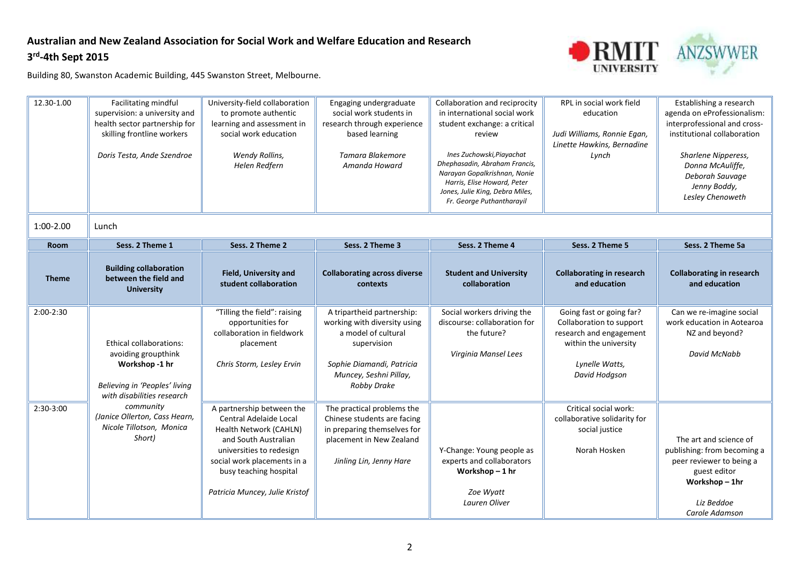## **Australian and New Zealand Association for Social Work and Welfare Education and Research 3 rd -4th Sept 2015**



| 12.30-1.00   | Facilitating mindful<br>supervision: a university and<br>health sector partnership for<br>skilling frontline workers<br>Doris Testa, Ande Szendroe | University-field collaboration<br>to promote authentic<br>learning and assessment in<br>social work education<br>Wendy Rollins,<br>Helen Redfern                                                                             | Engaging undergraduate<br>social work students in<br>research through experience<br>based learning<br>Tamara Blakemore<br>Amanda Howard                                       | Collaboration and reciprocity<br>in international social work<br>student exchange: a critical<br>review<br>Ines Zuchowski, Piayachat<br>Dhephasadin, Abraham Francis,<br>Narayan Gopalkrishnan, Nonie<br>Harris, Elise Howard, Peter<br>Jones, Julie King, Debra Miles,<br>Fr. George Puthantharayil | RPL in social work field<br>education<br>Judi Williams, Ronnie Egan,<br>Linette Hawkins, Bernadine<br>Lynch                                 | Establishing a research<br>agenda on eProfessionalism:<br>interprofessional and cross-<br>institutional collaboration<br>Sharlene Nipperess,<br>Donna McAuliffe,<br>Deborah Sauvage<br>Jenny Boddy,<br>Lesley Chenoweth |
|--------------|----------------------------------------------------------------------------------------------------------------------------------------------------|------------------------------------------------------------------------------------------------------------------------------------------------------------------------------------------------------------------------------|-------------------------------------------------------------------------------------------------------------------------------------------------------------------------------|------------------------------------------------------------------------------------------------------------------------------------------------------------------------------------------------------------------------------------------------------------------------------------------------------|---------------------------------------------------------------------------------------------------------------------------------------------|-------------------------------------------------------------------------------------------------------------------------------------------------------------------------------------------------------------------------|
| $1:00-2.00$  | Lunch                                                                                                                                              |                                                                                                                                                                                                                              |                                                                                                                                                                               |                                                                                                                                                                                                                                                                                                      |                                                                                                                                             |                                                                                                                                                                                                                         |
| Room         | Sess. 2 Theme 1                                                                                                                                    | Sess. 2 Theme 2                                                                                                                                                                                                              | Sess. 2 Theme 3                                                                                                                                                               | Sess. 2 Theme 4                                                                                                                                                                                                                                                                                      | Sess. 2 Theme 5                                                                                                                             | Sess. 2 Theme 5a                                                                                                                                                                                                        |
| <b>Theme</b> | <b>Building collaboration</b><br>between the field and<br><b>University</b>                                                                        | <b>Field, University and</b><br>student collaboration                                                                                                                                                                        | <b>Collaborating across diverse</b><br>contexts                                                                                                                               | <b>Student and University</b><br>collaboration                                                                                                                                                                                                                                                       | <b>Collaborating in research</b><br>and education                                                                                           | <b>Collaborating in research</b><br>and education                                                                                                                                                                       |
| 2:00-2:30    | <b>Ethical collaborations:</b><br>avoiding groupthink<br>Workshop -1 hr<br>Believing in 'Peoples' living<br>with disabilities research             | "Tilling the field": raising<br>opportunities for<br>collaboration in fieldwork<br>placement<br>Chris Storm, Lesley Ervin                                                                                                    | A tripartheid partnership:<br>working with diversity using<br>a model of cultural<br>supervision<br>Sophie Diamandi, Patricia<br>Muncey, Seshni Pillay,<br><b>Robby Drake</b> | Social workers driving the<br>discourse: collaboration for<br>the future?<br>Virginia Mansel Lees                                                                                                                                                                                                    | Going fast or going far?<br>Collaboration to support<br>research and engagement<br>within the university<br>Lynelle Watts,<br>David Hodgson | Can we re-imagine social<br>work education in Aotearoa<br>NZ and beyond?<br>David McNabb                                                                                                                                |
| 2:30-3:00    | community<br>(Janice Ollerton, Cass Hearn,<br>Nicole Tillotson, Monica<br>Short)                                                                   | A partnership between the<br>Central Adelaide Local<br>Health Network (CAHLN)<br>and South Australian<br>universities to redesign<br>social work placements in a<br>busy teaching hospital<br>Patricia Muncey, Julie Kristof | The practical problems the<br>Chinese students are facing<br>in preparing themselves for<br>placement in New Zealand<br>Jinling Lin, Jenny Hare                               | Y-Change: Young people as<br>experts and collaborators<br>Workshop-1 hr<br>Zoe Wyatt<br>Lauren Oliver                                                                                                                                                                                                | Critical social work:<br>collaborative solidarity for<br>social justice<br>Norah Hosken                                                     | The art and science of<br>publishing: from becoming a<br>peer reviewer to being a<br>guest editor<br>Workshop-1hr<br>Liz Beddoe<br>Carole Adamson                                                                       |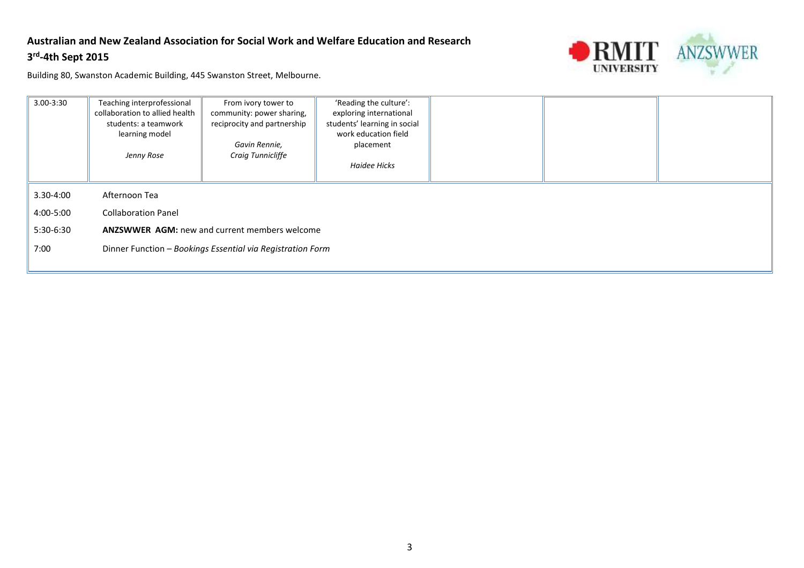## **Australian and New Zealand Association for Social Work and Welfare Education and Research 3 rd -4th Sept 2015**



| 3.00-3:30 | Teaching interprofessional<br>collaboration to allied health<br>students: a teamwork<br>learning model<br>Jenny Rose | From ivory tower to<br>community: power sharing,<br>reciprocity and partnership<br>Gavin Rennie,<br>Craig Tunnicliffe | 'Reading the culture':<br>exploring international<br>students' learning in social<br>work education field<br>placement<br>Haidee Hicks |  |  |  |  |
|-----------|----------------------------------------------------------------------------------------------------------------------|-----------------------------------------------------------------------------------------------------------------------|----------------------------------------------------------------------------------------------------------------------------------------|--|--|--|--|
| 3.30-4:00 | Afternoon Tea                                                                                                        |                                                                                                                       |                                                                                                                                        |  |  |  |  |
| 4:00-5:00 | <b>Collaboration Panel</b>                                                                                           |                                                                                                                       |                                                                                                                                        |  |  |  |  |
| 5:30-6:30 | <b>ANZSWWER AGM: new and current members welcome</b>                                                                 |                                                                                                                       |                                                                                                                                        |  |  |  |  |
| 7:00      | Dinner Function - Bookings Essential via Registration Form                                                           |                                                                                                                       |                                                                                                                                        |  |  |  |  |
|           |                                                                                                                      |                                                                                                                       |                                                                                                                                        |  |  |  |  |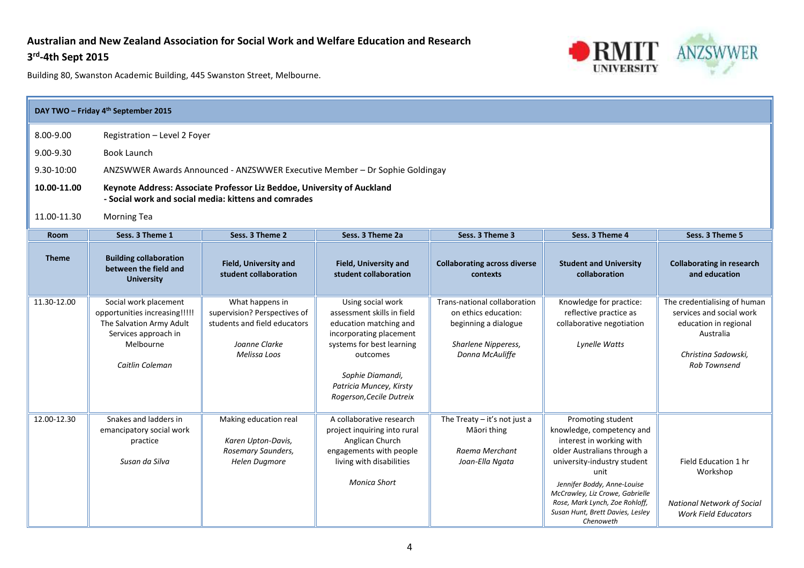### **Australian and New Zealand Association for Social Work and Welfare Education and Research**

### **3 rd -4th Sept 2015**



| DAY TWO - Friday 4 <sup>th</sup> September 2015 |                                                                                                                                            |                                                                                                                  |                                                                                                                                                                                                                          |                                                                                                                        |                                                                                                                                                                                                                                                                                                       |                                                                                                                                       |  |  |  |
|-------------------------------------------------|--------------------------------------------------------------------------------------------------------------------------------------------|------------------------------------------------------------------------------------------------------------------|--------------------------------------------------------------------------------------------------------------------------------------------------------------------------------------------------------------------------|------------------------------------------------------------------------------------------------------------------------|-------------------------------------------------------------------------------------------------------------------------------------------------------------------------------------------------------------------------------------------------------------------------------------------------------|---------------------------------------------------------------------------------------------------------------------------------------|--|--|--|
| 8.00-9.00                                       | Registration - Level 2 Foyer                                                                                                               |                                                                                                                  |                                                                                                                                                                                                                          |                                                                                                                        |                                                                                                                                                                                                                                                                                                       |                                                                                                                                       |  |  |  |
| 9.00-9.30                                       | <b>Book Launch</b>                                                                                                                         |                                                                                                                  |                                                                                                                                                                                                                          |                                                                                                                        |                                                                                                                                                                                                                                                                                                       |                                                                                                                                       |  |  |  |
| 9.30-10:00                                      | ANZSWWER Awards Announced - ANZSWWER Executive Member - Dr Sophie Goldingay                                                                |                                                                                                                  |                                                                                                                                                                                                                          |                                                                                                                        |                                                                                                                                                                                                                                                                                                       |                                                                                                                                       |  |  |  |
| 10.00-11.00                                     | Keynote Address: Associate Professor Liz Beddoe, University of Auckland<br>- Social work and social media: kittens and comrades            |                                                                                                                  |                                                                                                                                                                                                                          |                                                                                                                        |                                                                                                                                                                                                                                                                                                       |                                                                                                                                       |  |  |  |
| 11.00-11.30                                     | <b>Morning Tea</b>                                                                                                                         |                                                                                                                  |                                                                                                                                                                                                                          |                                                                                                                        |                                                                                                                                                                                                                                                                                                       |                                                                                                                                       |  |  |  |
| <b>Room</b>                                     | Sess. 3 Theme 1                                                                                                                            | Sess. 3 Theme 2                                                                                                  | Sess. 3 Theme 2a                                                                                                                                                                                                         | Sess. 3 Theme 3                                                                                                        | Sess. 3 Theme 4                                                                                                                                                                                                                                                                                       | Sess. 3 Theme 5                                                                                                                       |  |  |  |
| <b>Theme</b>                                    | <b>Building collaboration</b><br>between the field and<br><b>University</b>                                                                | <b>Field, University and</b><br>student collaboration                                                            | <b>Field, University and</b><br>student collaboration                                                                                                                                                                    | <b>Collaborating across diverse</b><br>contexts                                                                        | <b>Student and University</b><br>collaboration                                                                                                                                                                                                                                                        | <b>Collaborating in research</b><br>and education                                                                                     |  |  |  |
| 11.30-12.00                                     | Social work placement<br>opportunities increasing!!!!!<br>The Salvation Army Adult<br>Services approach in<br>Melbourne<br>Caitlin Coleman | What happens in<br>supervision? Perspectives of<br>students and field educators<br>Joanne Clarke<br>Melissa Loos | Using social work<br>assessment skills in field<br>education matching and<br>incorporating placement<br>systems for best learning<br>outcomes<br>Sophie Diamandi,<br>Patricia Muncey, Kirsty<br>Rogerson, Cecile Dutreix | Trans-national collaboration<br>on ethics education:<br>beginning a dialogue<br>Sharlene Nipperess,<br>Donna McAuliffe | Knowledge for practice:<br>reflective practice as<br>collaborative negotiation<br>Lynelle Watts                                                                                                                                                                                                       | The credentialising of human<br>services and social work<br>education in regional<br>Australia<br>Christina Sadowski,<br>Rob Townsend |  |  |  |
| 12.00-12.30                                     | Snakes and ladders in<br>emancipatory social work<br>practice<br>Susan da Silva                                                            | Making education real<br>Karen Upton-Davis,<br>Rosemary Saunders,<br><b>Helen Dugmore</b>                        | A collaborative research<br>project inquiring into rural<br>Anglican Church<br>engagements with people<br>living with disabilities<br><b>Monica Short</b>                                                                | The Treaty $-$ it's not just a<br>Māori thing<br>Raema Merchant<br>Joan-Ella Ngata                                     | Promoting student<br>knowledge, competency and<br>interest in working with<br>older Australians through a<br>university-industry student<br>unit<br>Jennifer Boddy, Anne-Louise<br>McCrawley, Liz Crowe, Gabrielle<br>Rose, Mark Lynch, Zoe Rohloff,<br>Susan Hunt, Brett Davies, Lesley<br>Chenoweth | Field Education 1 hr<br>Workshop<br><b>National Network of Social</b><br><b>Work Field Educators</b>                                  |  |  |  |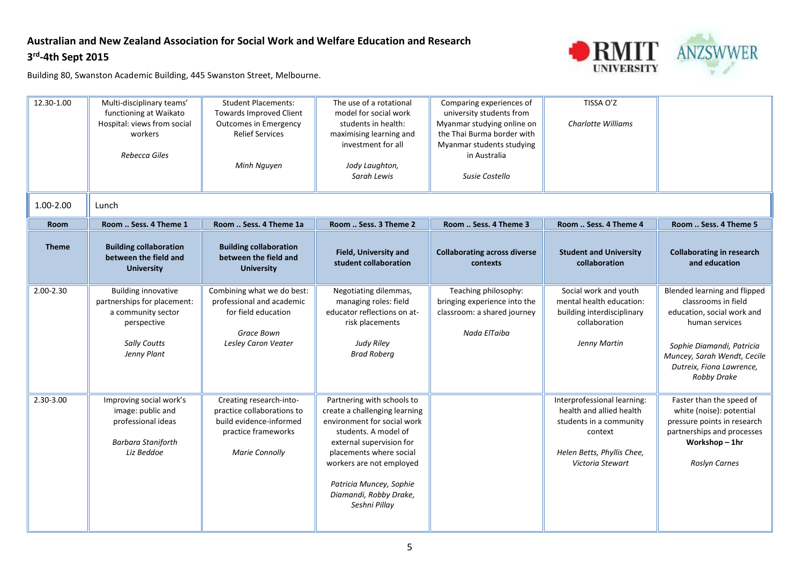## **Australian and New Zealand Association for Social Work and Welfare Education and Research 3 rd -4th Sept 2015**



| 12.30-1.00   | Multi-disciplinary teams'<br>functioning at Waikato<br>Hospital: views from social<br>workers<br>Rebecca Giles                       | <b>Student Placements:</b><br><b>Towards Improved Client</b><br><b>Outcomes in Emergency</b><br><b>Relief Services</b><br>Minh Nguyen | The use of a rotational<br>model for social work<br>students in health:<br>maximising learning and<br>investment for all<br>Jody Laughton,<br>Sarah Lewis                                                                                                                   | Comparing experiences of<br>university students from<br>Myanmar studying online on<br>the Thai Burma border with<br>Myanmar students studying<br>in Australia<br>Susie Costello | TISSA O'Z<br><b>Charlotte Williams</b>                                                                                                          |                                                                                                                                                                                                                   |
|--------------|--------------------------------------------------------------------------------------------------------------------------------------|---------------------------------------------------------------------------------------------------------------------------------------|-----------------------------------------------------------------------------------------------------------------------------------------------------------------------------------------------------------------------------------------------------------------------------|---------------------------------------------------------------------------------------------------------------------------------------------------------------------------------|-------------------------------------------------------------------------------------------------------------------------------------------------|-------------------------------------------------------------------------------------------------------------------------------------------------------------------------------------------------------------------|
| 1.00-2.00    | Lunch                                                                                                                                |                                                                                                                                       |                                                                                                                                                                                                                                                                             |                                                                                                                                                                                 |                                                                                                                                                 |                                                                                                                                                                                                                   |
| <b>Room</b>  | Room  Sess. 4 Theme 1                                                                                                                | Room  Sess. 4 Theme 1a                                                                                                                | Room  Sess. 3 Theme 2                                                                                                                                                                                                                                                       | Room  Sess. 4 Theme 3                                                                                                                                                           | Room  Sess. 4 Theme 4                                                                                                                           | Room  Sess. 4 Theme 5                                                                                                                                                                                             |
| <b>Theme</b> | <b>Building collaboration</b><br>between the field and<br><b>University</b>                                                          | <b>Building collaboration</b><br>between the field and<br><b>University</b>                                                           | Field, University and<br>student collaboration                                                                                                                                                                                                                              | <b>Collaborating across diverse</b><br>contexts                                                                                                                                 | <b>Student and University</b><br>collaboration                                                                                                  | <b>Collaborating in research</b><br>and education                                                                                                                                                                 |
| 2.00-2.30    | <b>Building innovative</b><br>partnerships for placement:<br>a community sector<br>perspective<br><b>Sally Coutts</b><br>Jenny Plant | Combining what we do best:<br>professional and academic<br>for field education<br>Grace Bown<br>Lesley Caron Veater                   | Negotiating dilemmas,<br>managing roles: field<br>educator reflections on at-<br>risk placements<br><b>Judy Riley</b><br><b>Brad Roberg</b>                                                                                                                                 | Teaching philosophy:<br>bringing experience into the<br>classroom: a shared journey<br>Nada ElTaiba                                                                             | Social work and youth<br>mental health education:<br>building interdisciplinary<br>collaboration<br>Jenny Martin                                | Blended learning and flipped<br>classrooms in field<br>education, social work and<br>human services<br>Sophie Diamandi, Patricia<br>Muncey, Sarah Wendt, Cecile<br>Dutreix, Fiona Lawrence,<br><b>Robby Drake</b> |
| 2.30-3.00    | Improving social work's<br>image: public and<br>professional ideas<br><b>Barbara Staniforth</b><br>Liz Beddoe                        | Creating research-into-<br>practice collaborations to<br>build evidence-informed<br>practice frameworks<br><b>Marie Connolly</b>      | Partnering with schools to<br>create a challenging learning<br>environment for social work<br>students. A model of<br>external supervision for<br>placements where social<br>workers are not employed<br>Patricia Muncey, Sophie<br>Diamandi, Robby Drake,<br>Seshni Pillay |                                                                                                                                                                                 | Interprofessional learning:<br>health and allied health<br>students in a community<br>context<br>Helen Betts, Phyllis Chee,<br>Victoria Stewart | Faster than the speed of<br>white (noise): potential<br>pressure points in research<br>partnerships and processes<br>Workshop-1hr<br>Roslyn Carnes                                                                |